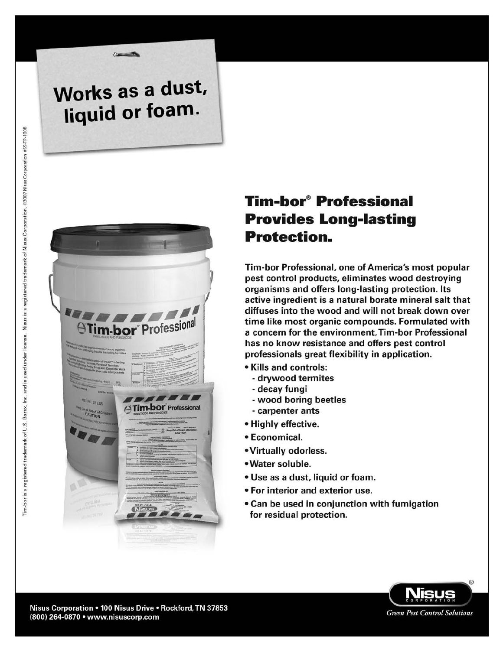# Works as a dust, liquid or foam.



# **Tim-bor<sup>®</sup> Professional Provides Long-lasting Protection.**

Tim-bor Professional, one of America's most popular pest control products, eliminates wood destroying organisms and offers long-lasting protection. Its active ingredient is a natural borate mineral salt that diffuses into the wood and will not break down over time like most organic compounds. Formulated with a concern for the environment. Tim-bor Professional has no know resistance and offers pest control professionals great flexibility in application.

- Kills and controls:
	- drywood termites
	- decay fungi
	- wood boring beetles
	- carpenter ants
- Highly effective.
- Economical.
- Virtually odorless.
- Water soluble.
- Use as a dust, liquid or foam.
- For interior and exterior use.
- Can be used in conjunction with fumigation for residual protection.

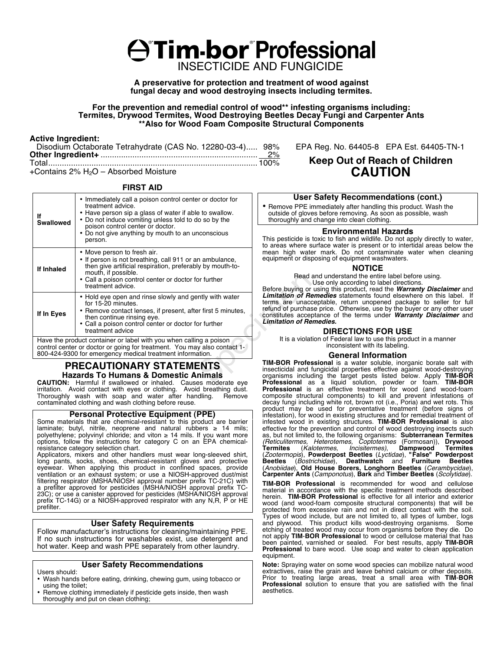# A<sup>\*</sup>Tim-bor<sup>\*</sup>Professional INSECTICIDE AND FUNGICIDE

**A preservative for protection and treatment of wood against fungal decay and wood destroying insects including termites.**

**For the prevention and remedial control of wood\*\* infesting organisms including: Termites, Drywood Termites, Wood Destroying Beetles Decay Fungi and Carpenter Ants \*\*Also for Wood Foam Composite Structural Components**

#### **Active Ingredient:**

| Disodium Octaborate Tetrahydrate (CAS No. 12280-03-4) 98% |  |
|-----------------------------------------------------------|--|
|                                                           |  |
|                                                           |  |
|                                                           |  |

+Contains 2%  $H_2O$  – Absorbed Moisture

#### **FIRST AID**

| lf<br><b>Swallowed</b>                                             | • Immediately call a poison control center or doctor for<br>treatment advice.<br>• Have person sip a glass of water if able to swallow.<br>• Do not induce vomiting unless told to do so by the<br>poison control center or doctor.<br>• Do not give anything by mouth to an unconscious<br>person. |  |
|--------------------------------------------------------------------|-----------------------------------------------------------------------------------------------------------------------------------------------------------------------------------------------------------------------------------------------------------------------------------------------------|--|
| If Inhaled                                                         | • Move person to fresh air.<br>• If person is not breathing, call 911 or an ambulance,<br>then give artificial respiration, preferably by mouth-to-<br>mouth, if possible.<br>• Call a poison control center or doctor for further<br>treatment advice.                                             |  |
| If In Eyes                                                         | • Hold eye open and rinse slowly and gently with water<br>for 15-20 minutes.<br>• Remove contact lenses, if present, after first 5 minutes,<br>then continue rinsing eye.<br>• Call a poison control center or doctor for further<br>treatment advice                                               |  |
| Have the product container or label with you when calling a poison |                                                                                                                                                                                                                                                                                                     |  |

Have the product container or label with you when calling a poison control center or doctor or going for treatment. You may also contact 1- 800-424-9300 for emergency medical treatment information.

# **PRECAUTIONARY STATEMENTS Hazards To Humans & Domestic Animals**

**CAUTION:** Harmful if swallowed or inhaled. Causes moderate eye irritation. Avoid contact with eyes or clothing. Avoid breathing dust.<br>Thoroughly wash with soap and water after handling. Bemove Thoroughly wash with soap and water after handling. contaminated clothing and wash clothing before reuse.

# **Personal Protective Equipment (PPE)**

Some materials that are chemical-resistant to this product are barrier laminate; butyl, nitrile, neoprene and natural rubbers  $\geq 14$  mils; polyethylene; polyvinyl chloride; and viton ≥ 14 mils. If you want more options, follow the instructions for category C on an EPA chemicalresistance category selection chart.

Applicators, mixers and other handlers must wear long-sleeved shirt, long pants, socks, shoes, chemical-resistant gloves and protective eyewear. When applying this product in confined spaces, provide ventilation or an exhaust system; or use a NIOSH-approved dust/mist filtering respirator (MSHA/NIOSH approval number prefix TC-21C) with a prefilter approved for pesticides (MSHA/NIOSH approval prefix TC-23C); or use a canister approved for pesticides (MSHA/NIOSH approval prefix TC-14G) or a NIOSH-approved respirator with any N,R, P or HE prefilter.

# **User Safety Requirements**

Follow manufacturer's instructions for cleaning/maintaining PPE. If no such instructions for washables exist, use detergent and hot water. Keep and wash PPE separately from other laundry.

# **User Safety Recommendations**

Users should:

- Wash hands before eating, drinking, chewing gum, using tobacco or using the toilet:
- Remove clothing immediately if pesticide gets inside, then wash thoroughly and put on clean clothing;

EPA Reg. No. 64405-8 EPA Est. 64405-TN-1

# **Keep Out of Reach of Children CAUTION**

# **User Safety Recommendations (cont.)**

• Remove PPE immediately after handling this product. Wash the outside of gloves before removing. As soon as possible, wash thoroughly and change into clean clothing.

### **Environmental Hazards**

This pesticide is toxic to fish and wildlife. Do not apply directly to water, to areas where surface water is present or to intertidal areas below the mean high water mark. Do not contaminate water when cleaning equipment or disposing of equipment washwaters.

## **NOTICE**

Read and understand the entire label before using.

Use only according to label directions. Before buying or using this product, read the *Warranty Disclaimer* and *Limitation of Remedies* statements found elsewhere on this label. If terms are unacceptable, return unopened package to seller for full refund of purchase price. Otherwise, use by the buyer or any other user constitutes acceptance of the terms under *Warranty Disclaimer* and *Limitation of Remedies.*

# **DIRECTIONS FOR USE**

It is a violation of Federal law to use this product in a manner inconsistent with its labeling.

### **General Information**

**TIM-BOR Professional** is a water soluble, inorganic borate salt with insecticidal and fungicidal properties effective against wood-destroying organisms including the target pests listed below. Apply **TIM-BOR Professional** as a liquid solution, powder or foam. **TIM-BOR Professional** is an effective treatment for wood (and wood-foam composite structural components) to kill and prevent infestations of decay fungi including white rot, brown rot (i.e., Poria) and wet rots. This product may be used for preventative treatment (before signs of infestation), for wood in existing structures and for remedial treatment of infested wood in existing structures. **TIM-BOR Professional** is also effective for the prevention and control of wood destroying insects such as, but not limited to, the following organisms: **Subterranean Termites** *(Reticulitermes, Heterotemes, Coptotermes* (Formosan)), **Drywood**  Termites (*Kalotermes, Incisitermes)*, Dampwood Termites<br>(*Zootermopis*),**PowderpostBeetles**(L*yctidae*), "False"Powderpost<br>Beetles (*Bostrichidae*), Deathwatch and Furniture Beetles (*Anobiidae*), **Old House Borers, Longhorn Beetles** (*Cerambycidae*), **Carpenter Ants** (*Camponotus*), **Bark** and **Timber Beetles** (*Scolytidae*).

**TIM-BOR Professional** is recommended for wood and cellulose material in accordance with the specific treatment methods described herein. **TIM-BOR Professional** is effective for all interior and exterior wood (and wood-foam composite structural components) that will be protected from excessive rain and not in direct contact with the soil. Types of wood include, but are not limited to, all types of lumber, logs and plywood. This product kills wood-destroying organisms. Some<br>etching of treated wood may occur from organisms before they die. Do<br>not apply TIM-BOR Professional to wood or cellulose material that has been painted, varnished or sealed. For best results, apply **TIM-BOR Professional** to bare wood. Use soap and water to clean application equipment.

**Note:** Spraying water on some wood species can mobilize natural wood extractives, raise the grain and leave behind calcium or other deposits. Prior to treating large areas, treat a small area with **TIM**-**BOR Professional** solution to ensure that you are satisfied with the final aesthetics.